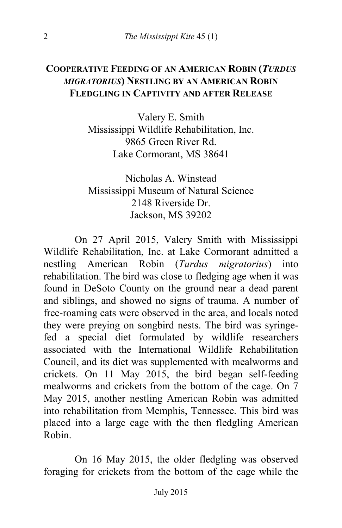## **COOPERATIVE FEEDING OF AN AMERICAN ROBIN (***TURDUS MIGRATORIUS***) NESTLING BY AN AMERICAN ROBIN FLEDGLING IN CAPTIVITY AND AFTER RELEASE**

Valery E. Smith Mississippi Wildlife Rehabilitation, Inc. 9865 Green River Rd. Lake Cormorant, MS 38641

Nicholas A. Winstead Mississippi Museum of Natural Science 2148 Riverside Dr. Jackson, MS 39202

On 27 April 2015, Valery Smith with Mississippi Wildlife Rehabilitation, Inc. at Lake Cormorant admitted a nestling American Robin (*Turdus migratorius*) into rehabilitation. The bird was close to fledging age when it was found in DeSoto County on the ground near a dead parent and siblings, and showed no signs of trauma. A number of free-roaming cats were observed in the area, and locals noted they were preying on songbird nests. The bird was syringefed a special diet formulated by wildlife researchers associated with the International Wildlife Rehabilitation Council, and its diet was supplemented with mealworms and crickets. On 11 May 2015, the bird began self-feeding mealworms and crickets from the bottom of the cage. On 7 May 2015, another nestling American Robin was admitted into rehabilitation from Memphis, Tennessee. This bird was placed into a large cage with the then fledgling American Robin.

On 16 May 2015, the older fledgling was observed foraging for crickets from the bottom of the cage while the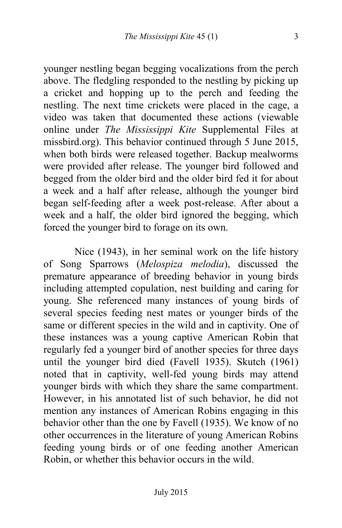younger nestling began begging vocalizations from the perch above. The fledgling responded to the nestling by picking up a cricket and hopping up to the perch and feeding the nestling. The next time crickets were placed in the cage, a video was taken that documented these actions (viewable online under *The Mississippi Kite* Supplemental Files at missbird.org). This behavior continued through 5 June 2015, when both birds were released together. Backup mealworms were provided after release. The younger bird followed and begged from the older bird and the older bird fed it for about a week and a half after release, although the younger bird began self-feeding after a week post-release. After about a week and a half, the older bird ignored the begging, which forced the younger bird to forage on its own.

Nice (1943), in her seminal work on the life history of Song Sparrows (*Melospiza melodia*), discussed the premature appearance of breeding behavior in young birds including attempted copulation, nest building and caring for young. She referenced many instances of young birds of several species feeding nest mates or younger birds of the same or different species in the wild and in captivity. One of these instances was a young captive American Robin that regularly fed a younger bird of another species for three days until the younger bird died (Favell 1935). Skutch (1961) noted that in captivity, well-fed young birds may attend younger birds with which they share the same compartment. However, in his annotated list of such behavior, he did not mention any instances of American Robins engaging in this behavior other than the one by Favell (1935). We know of no other occurrences in the literature of young American Robins feeding young birds or of one feeding another American Robin, or whether this behavior occurs in the wild.